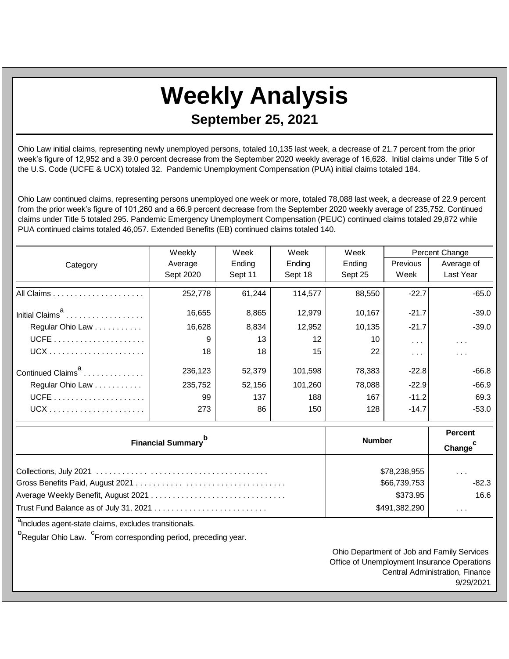## **Weekly Analysis September 25, 2021**

Ohio Law initial claims, representing newly unemployed persons, totaled 10,135 last week, a decrease of 21.7 percent from the prior week's figure of 12,952 and a 39.0 percent decrease from the September 2020 weekly average of 16,628. Initial claims under Title 5 of the U.S. Code (UCFE & UCX) totaled 32. Pandemic Unemployment Compensation (PUA) initial claims totaled 184.

Ohio Law continued claims, representing persons unemployed one week or more, totaled 78,088 last week, a decrease of 22.9 percent from the prior week's figure of 101,260 and a 66.9 percent decrease from the September 2020 weekly average of 235,752. Continued claims under Title 5 totaled 295. Pandemic Emergency Unemployment Compensation (PEUC) continued claims totaled 29,872 while PUA continued claims totaled 46,057. Extended Benefits (EB) continued claims totaled 140.

|                               | Weekly    | Week    | Week    | Week    | Percent Change  |            |
|-------------------------------|-----------|---------|---------|---------|-----------------|------------|
| Category                      | Average   | Ending  | Ending  | Ending  | <b>Previous</b> | Average of |
|                               | Sept 2020 | Sept 11 | Sept 18 | Sept 25 | Week            | Last Year  |
|                               | 252,778   | 61,244  | 114,577 | 88,550  | $-22.7$         | $-65.0$    |
| Initial Claims <sup>a</sup>   | 16,655    | 8,865   | 12,979  | 10,167  | $-21.7$         | $-39.0$    |
| Regular Ohio Law              | 16,628    | 8,834   | 12,952  | 10,135  | $-21.7$         | $-39.0$    |
|                               | 9         | 13      | 12      | 10      | $\cdots$        | $\cdots$   |
|                               | 18        | 18      | 15      | 22      | $\cdots$        | $\cdots$   |
| Continued Claims <sup>a</sup> | 236,123   | 52,379  | 101,598 | 78,383  | $-22.8$         | $-66.8$    |
| Regular Ohio Law              | 235,752   | 52,156  | 101,260 | 78,088  | $-22.9$         | $-66.9$    |
|                               | 99        | 137     | 188     | 167     | $-11.2$         | 69.3       |
|                               | 273       | 86      | 150     | 128     | $-14.7$         | -53.0      |

| <b>Financial Summary</b> <sup>p</sup> | <b>Number</b>                | Percent<br>Change <sup>c</sup> |
|---------------------------------------|------------------------------|--------------------------------|
|                                       | \$78,238,955<br>\$66,739,753 | $\cdots$<br>$-82.3$<br>16.6    |
|                                       | \$373.95<br>\$491,382,290    | $\cdots$                       |

<sup>a</sup>Includes agent-state claims, excludes transitionals.

<sup>b</sup><br>Regular Ohio Law. <sup>C</sup>From corresponding period, preceding year.

Ohio Department of Job and Family Services Office of Unemployment Insurance Operations Central Administration, Finance 9/29/2021